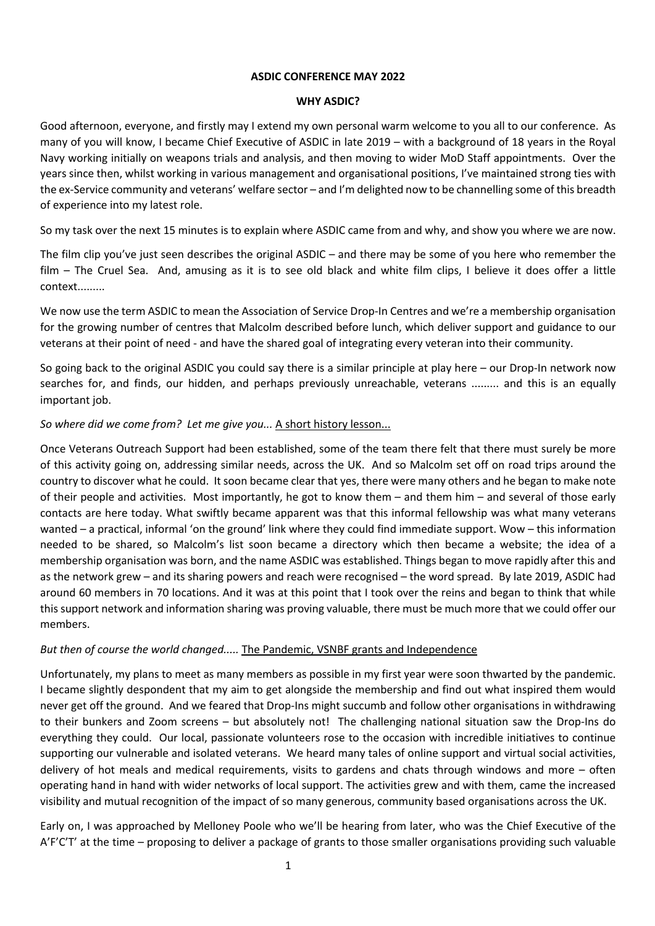#### **ASDIC CONFERENCE MAY 2022**

#### **WHY ASDIC?**

Good afternoon, everyone, and firstly may I extend my own personal warm welcome to you all to our conference. As many of you will know, I became Chief Executive of ASDIC in late 2019 – with a background of 18 years in the Royal Navy working initially on weapons trials and analysis, and then moving to wider MoD Staff appointments. Over the years since then, whilst working in various management and organisational positions, I've maintained strong ties with the ex-Service community and veterans' welfare sector – and I'm delighted now to be channelling some of this breadth of experience into my latest role.

So my task over the next 15 minutes is to explain where ASDIC came from and why, and show you where we are now.

The film clip you've just seen describes the original ASDIC – and there may be some of you here who remember the film – The Cruel Sea. And, amusing as it is to see old black and white film clips, I believe it does offer a little context.........

We now use the term ASDIC to mean the Association of Service Drop-In Centres and we're a membership organisation for the growing number of centres that Malcolm described before lunch, which deliver support and guidance to our veterans at their point of need - and have the shared goal of integrating every veteran into their community.

So going back to the original ASDIC you could say there is a similar principle at play here – our Drop-In network now searches for, and finds, our hidden, and perhaps previously unreachable, veterans ......... and this is an equally important job.

## *So where did we come from? Let me give you...* A short history lesson...

Once Veterans Outreach Support had been established, some of the team there felt that there must surely be more of this activity going on, addressing similar needs, across the UK. And so Malcolm set off on road trips around the country to discover what he could. It soon became clear that yes, there were many others and he began to make note of their people and activities. Most importantly, he got to know them – and them him – and several of those early contacts are here today. What swiftly became apparent was that this informal fellowship was what many veterans wanted – a practical, informal 'on the ground' link where they could find immediate support. Wow – this information needed to be shared, so Malcolm's list soon became a directory which then became a website; the idea of a membership organisation was born, and the name ASDIC was established. Things began to move rapidly after this and as the network grew – and its sharing powers and reach were recognised – the word spread. By late 2019, ASDIC had around 60 members in 70 locations. And it was at this point that I took over the reins and began to think that while this support network and information sharing was proving valuable, there must be much more that we could offer our members.

### *But then of course the world changed.....* The Pandemic, VSNBF grants and Independence

Unfortunately, my plans to meet as many members as possible in my first year were soon thwarted by the pandemic. I became slightly despondent that my aim to get alongside the membership and find out what inspired them would never get off the ground. And we feared that Drop-Ins might succumb and follow other organisations in withdrawing to their bunkers and Zoom screens – but absolutely not! The challenging national situation saw the Drop-Ins do everything they could. Our local, passionate volunteers rose to the occasion with incredible initiatives to continue supporting our vulnerable and isolated veterans. We heard many tales of online support and virtual social activities, delivery of hot meals and medical requirements, visits to gardens and chats through windows and more – often operating hand in hand with wider networks of local support. The activities grew and with them, came the increased visibility and mutual recognition of the impact of so many generous, community based organisations across the UK.

Early on, I was approached by Melloney Poole who we'll be hearing from later, who was the Chief Executive of the A'F'C'T' at the time – proposing to deliver a package of grants to those smaller organisations providing such valuable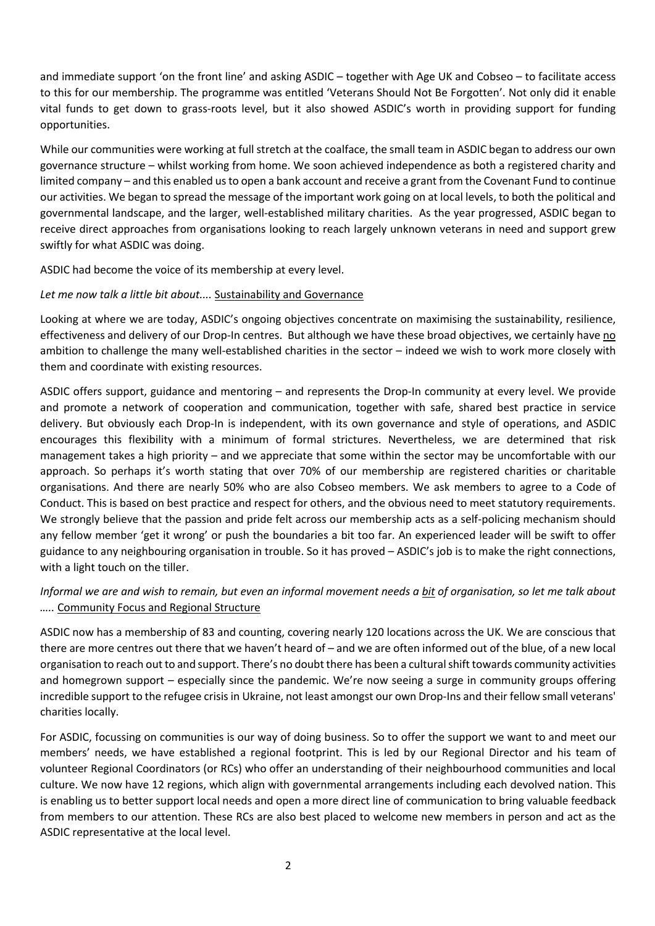and immediate support 'on the front line' and asking ASDIC – together with Age UK and Cobseo – to facilitate access to this for our membership. The programme was entitled 'Veterans Should Not Be Forgotten'. Not only did it enable vital funds to get down to grass-roots level, but it also showed ASDIC's worth in providing support for funding opportunities.

While our communities were working at full stretch at the coalface, the small team in ASDIC began to address our own governance structure – whilst working from home. We soon achieved independence as both a registered charity and limited company – and this enabled us to open a bank account and receive a grant from the Covenant Fund to continue our activities. We began to spread the message of the important work going on at local levels, to both the political and governmental landscape, and the larger, well-established military charities. As the year progressed, ASDIC began to receive direct approaches from organisations looking to reach largely unknown veterans in need and support grew swiftly for what ASDIC was doing.

ASDIC had become the voice of its membership at every level.

## *Let me now talk a little bit about....* Sustainability and Governance

Looking at where we are today, ASDIC's ongoing objectives concentrate on maximising the sustainability, resilience, effectiveness and delivery of our Drop-In centres. But although we have these broad objectives, we certainly have no ambition to challenge the many well-established charities in the sector – indeed we wish to work more closely with them and coordinate with existing resources.

ASDIC offers support, guidance and mentoring – and represents the Drop-In community at every level. We provide and promote a network of cooperation and communication, together with safe, shared best practice in service delivery. But obviously each Drop-In is independent, with its own governance and style of operations, and ASDIC encourages this flexibility with a minimum of formal strictures. Nevertheless, we are determined that risk management takes a high priority – and we appreciate that some within the sector may be uncomfortable with our approach. So perhaps it's worth stating that over 70% of our membership are registered charities or charitable organisations. And there are nearly 50% who are also Cobseo members. We ask members to agree to a Code of Conduct. This is based on best practice and respect for others, and the obvious need to meet statutory requirements. We strongly believe that the passion and pride felt across our membership acts as a self-policing mechanism should any fellow member 'get it wrong' or push the boundaries a bit too far. An experienced leader will be swift to offer guidance to any neighbouring organisation in trouble. So it has proved – ASDIC's job is to make the right connections, with a light touch on the tiller.

# *Informal we are and wish to remain, but even an informal movement needs a bit of organisation, so let me talk about …..* Community Focus and Regional Structure

ASDIC now has a membership of 83 and counting, covering nearly 120 locations across the UK. We are conscious that there are more centres out there that we haven't heard of – and we are often informed out of the blue, of a new local organisation to reach out to and support. There's no doubt there has been a cultural shift towards community activities and homegrown support – especially since the pandemic. We're now seeing a surge in community groups offering incredible support to the refugee crisis in Ukraine, not least amongst our own Drop-Ins and their fellow small veterans' charities locally.

For ASDIC, focussing on communities is our way of doing business. So to offer the support we want to and meet our members' needs, we have established a regional footprint. This is led by our Regional Director and his team of volunteer Regional Coordinators (or RCs) who offer an understanding of their neighbourhood communities and local culture. We now have 12 regions, which align with governmental arrangements including each devolved nation. This is enabling us to better support local needs and open a more direct line of communication to bring valuable feedback from members to our attention. These RCs are also best placed to welcome new members in person and act as the ASDIC representative at the local level.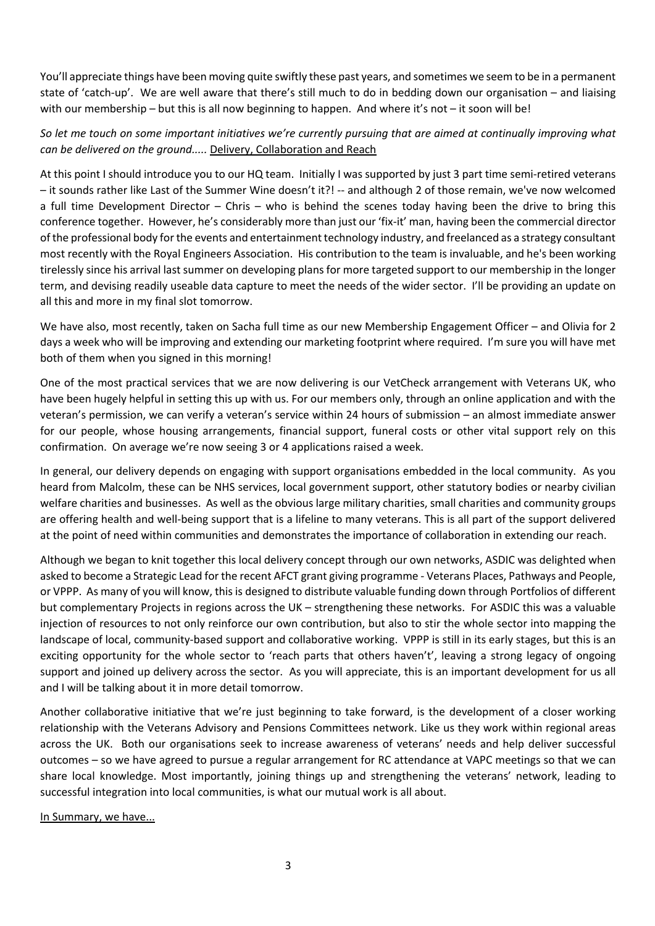You'll appreciate things have been moving quite swiftly these past years, and sometimes we seem to be in a permanent state of 'catch-up'. We are well aware that there's still much to do in bedding down our organisation – and liaising with our membership – but this is all now beginning to happen. And where it's not – it soon will be!

## *So let me touch on some important initiatives we're currently pursuing that are aimed at continually improving what can be delivered on the ground.....* Delivery, Collaboration and Reach

At this point I should introduce you to our HQ team. Initially I was supported by just 3 part time semi-retired veterans – it sounds rather like Last of the Summer Wine doesn't it?! -- and although 2 of those remain, we've now welcomed a full time Development Director – Chris – who is behind the scenes today having been the drive to bring this conference together. However, he's considerably more than just our 'fix-it' man, having been the commercial director of the professional body for the events and entertainment technology industry, and freelanced as a strategy consultant most recently with the Royal Engineers Association. His contribution to the team is invaluable, and he's been working tirelessly since his arrival last summer on developing plans for more targeted support to our membership in the longer term, and devising readily useable data capture to meet the needs of the wider sector. I'll be providing an update on all this and more in my final slot tomorrow.

We have also, most recently, taken on Sacha full time as our new Membership Engagement Officer – and Olivia for 2 days a week who will be improving and extending our marketing footprint where required. I'm sure you will have met both of them when you signed in this morning!

One of the most practical services that we are now delivering is our VetCheck arrangement with Veterans UK, who have been hugely helpful in setting this up with us. For our members only, through an online application and with the veteran's permission, we can verify a veteran's service within 24 hours of submission – an almost immediate answer for our people, whose housing arrangements, financial support, funeral costs or other vital support rely on this confirmation. On average we're now seeing 3 or 4 applications raised a week.

In general, our delivery depends on engaging with support organisations embedded in the local community. As you heard from Malcolm, these can be NHS services, local government support, other statutory bodies or nearby civilian welfare charities and businesses. As well as the obvious large military charities, small charities and community groups are offering health and well-being support that is a lifeline to many veterans. This is all part of the support delivered at the point of need within communities and demonstrates the importance of collaboration in extending our reach.

Although we began to knit together this local delivery concept through our own networks, ASDIC was delighted when asked to become a Strategic Lead for the recent AFCT grant giving programme - Veterans Places, Pathways and People, or VPPP. As many of you will know, this is designed to distribute valuable funding down through Portfolios of different but complementary Projects in regions across the UK – strengthening these networks. For ASDIC this was a valuable injection of resources to not only reinforce our own contribution, but also to stir the whole sector into mapping the landscape of local, community-based support and collaborative working. VPPP is still in its early stages, but this is an exciting opportunity for the whole sector to 'reach parts that others haven't', leaving a strong legacy of ongoing support and joined up delivery across the sector. As you will appreciate, this is an important development for us all and I will be talking about it in more detail tomorrow.

Another collaborative initiative that we're just beginning to take forward, is the development of a closer working relationship with the Veterans Advisory and Pensions Committees network. Like us they work within regional areas across the UK. Both our organisations seek to increase awareness of veterans' needs and help deliver successful outcomes – so we have agreed to pursue a regular arrangement for RC attendance at VAPC meetings so that we can share local knowledge. Most importantly, joining things up and strengthening the veterans' network, leading to successful integration into local communities, is what our mutual work is all about.

In Summary, we have...